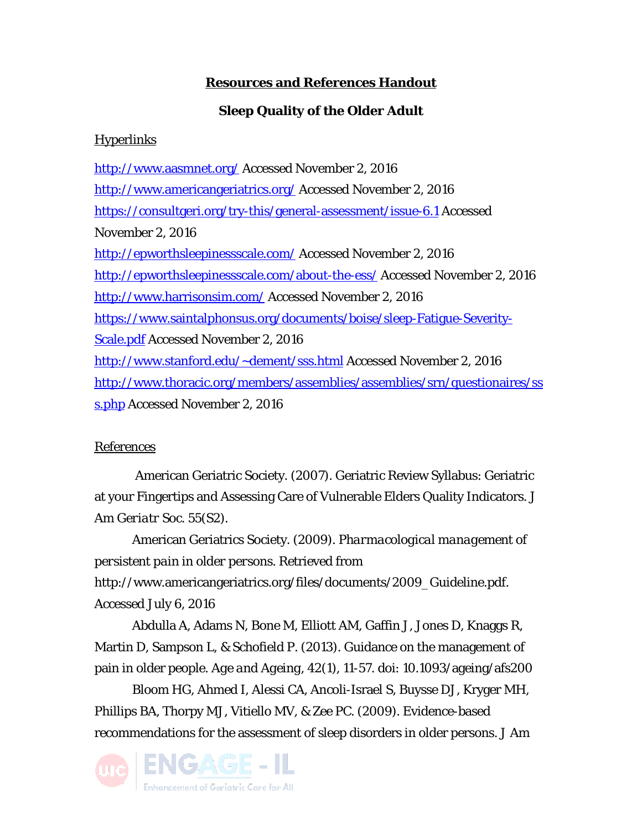## **Resources and References Handout**

## **Sleep Quality of the Older Adult**

## **Hyperlinks**

<http://www.aasmnet.org/> Accessed November 2, 2016 <http://www.americangeriatrics.org/> Accessed November 2, 2016 <https://consultgeri.org/try-this/general-assessment/issue-6.1> Accessed November 2, 2016 <http://epworthsleepinessscale.com/> Accessed November 2, 2016 <http://epworthsleepinessscale.com/about-the-ess/> Accessed November 2, 2016 <http://www.harrisonsim.com/> Accessed November 2, 2016 [https://www.saintalphonsus.org/documents/boise/sleep-Fatigue-Severity-](https://www.saintalphonsus.org/documents/boise/sleep-Fatigue-Severity-Scale.pdf)[Scale.pdf](https://www.saintalphonsus.org/documents/boise/sleep-Fatigue-Severity-Scale.pdf) Accessed November 2, 2016 [http://www.stanford.edu/~dement/sss.html](http://www.stanford.edu/%7Edement/sss.html) Accessed November 2, 2016 [http://www.thoracic.org/members/assemblies/assemblies/srn/questionaires/ss](http://www.thoracic.org/members/assemblies/assemblies/srn/questionaires/sss.php) [s.php](http://www.thoracic.org/members/assemblies/assemblies/srn/questionaires/sss.php) Accessed November 2, 2016

## References

American Geriatric Society. (2007). Geriatric Review Syllabus: Geriatric at your Fingertips and Assessing Care of Vulnerable Elders Quality Indicators. *J Am Geriatr Soc*. 55(S2).

American Geriatrics Society. (2009). *Pharmacological management of persistent pain in older persons*. Retrieved from http://www.americangeriatrics.org/files/documents/2009 Guideline.pdf. Accessed July 6, 2016

Abdulla A, Adams N, Bone M, Elliott AM, Gaffin J, Jones D, Knaggs R, Martin D, Sampson L, & Schofield P. (2013). Guidance on the management of pain in older people. *Age and Ageing*, 42(1), 11-57. doi: 10.1093/ageing/afs200

Bloom HG, Ahmed I, Alessi CA, Ancoli-Israel S, Buysse DJ, Kryger MH, Phillips BA, Thorpy MJ, Vitiello MV, & Zee PC. (2009). Evidence-based recommendations for the assessment of sleep disorders in older persons. *J Am*

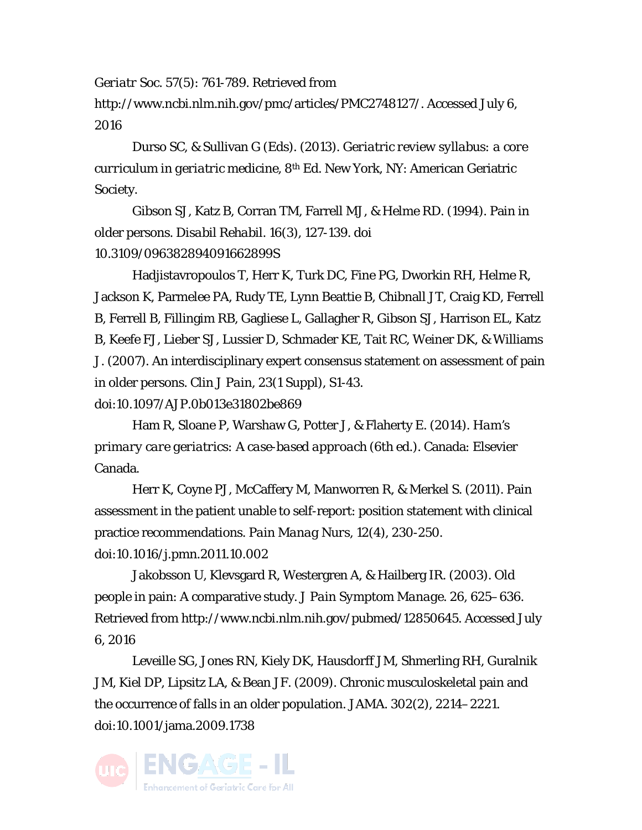*Geriatr Soc*. 57(5): 761-789. Retrieved from

http://www.ncbi.nlm.nih.gov/pmc/articles/PMC2748127/. Accessed July 6, 2016

Durso SC, & Sullivan G (Eds). (2013). *Geriatric review syllabus: a core curriculum in geriatric medicine*, 8th Ed. New York, NY: American Geriatric Society.

Gibson SJ, Katz B, Corran TM, Farrell MJ, & Helme RD. (1994). Pain in older persons. *Disabil Rehabil*. 16(3), 127-139. doi 10.3109/096382894091662899S

Hadjistavropoulos T, Herr K, Turk DC, Fine PG, Dworkin RH, Helme R, Jackson K, Parmelee PA, Rudy TE, Lynn Beattie B, Chibnall JT, Craig KD, Ferrell B, Ferrell B, Fillingim RB, Gagliese L, Gallagher R, Gibson SJ, Harrison EL, Katz B, Keefe FJ, Lieber SJ, Lussier D, Schmader KE, Tait RC, Weiner DK, & Williams J. (2007). An interdisciplinary expert consensus statement on assessment of pain in older persons. *Clin J Pain, 23*(1 Suppl), S1-43. doi:10.1097/AJP.0b013e31802be869

Ham R, Sloane P, Warshaw G, Potter J, & Flaherty E. (2014). *Ham's primary care geriatrics: A case-based approach* (6th ed.). Canada: Elsevier Canada.

Herr K, Coyne PJ, McCaffery M, Manworren R, & Merkel S. (2011). Pain assessment in the patient unable to self-report: position statement with clinical practice recommendations. *Pain Manag Nurs, 12*(4), 230-250. doi:10.1016/j.pmn.2011.10.002

Jakobsson U, Klevsgard R, Westergren A, & Hailberg IR. (2003). Old people in pain: A comparative study. *J Pain Symptom Manage*. 26, 625–636. Retrieved from http://www.ncbi.nlm.nih.gov/pubmed/12850645. Accessed July 6, 2016

Leveille SG, Jones RN, Kiely DK, Hausdorff JM, Shmerling RH, Guralnik JM, Kiel DP, Lipsitz LA, & Bean JF. (2009). Chronic musculoskeletal pain and the occurrence of falls in an older population. *JAMA*. 302(2), 2214–2221. doi:10.1001/jama.2009.1738